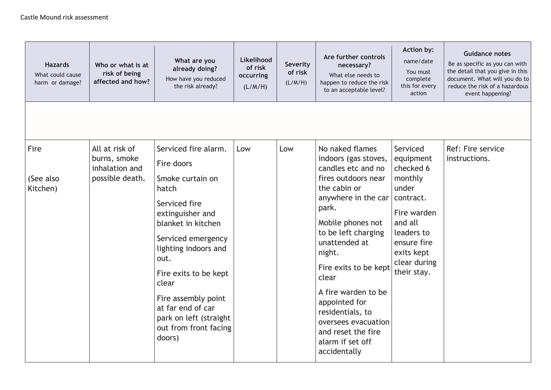| <b>Hazards</b><br>What could cause<br>harm or damage? | Who or what is at<br>risk of being<br>affected and how?             | What are you<br>already doing?<br>How have you reduced<br>the risk already?                                                                                                                                                                                                                                                 | Likelihood<br>of risk<br>occurring<br>(L/M/H) | <b>Severity</b><br>of risk<br>(L/M/H) | Are further controls<br>necessary?<br>What else needs to<br>happen to reduce the risk<br>to an acceptable level?                                                                                                                                                                                                                                                                           | Action by:<br>name/date<br>You must<br>complete<br>this for every<br>action                                                                                             | <b>Guidance notes</b><br>Be as specific as you can with<br>the detail that you give in this<br>document. What will you do to<br>reduce the risk of a hazardous<br>event happening? |
|-------------------------------------------------------|---------------------------------------------------------------------|-----------------------------------------------------------------------------------------------------------------------------------------------------------------------------------------------------------------------------------------------------------------------------------------------------------------------------|-----------------------------------------------|---------------------------------------|--------------------------------------------------------------------------------------------------------------------------------------------------------------------------------------------------------------------------------------------------------------------------------------------------------------------------------------------------------------------------------------------|-------------------------------------------------------------------------------------------------------------------------------------------------------------------------|------------------------------------------------------------------------------------------------------------------------------------------------------------------------------------|
|                                                       |                                                                     |                                                                                                                                                                                                                                                                                                                             |                                               |                                       |                                                                                                                                                                                                                                                                                                                                                                                            |                                                                                                                                                                         |                                                                                                                                                                                    |
| Fire<br>(See also<br>Kitchen)                         | All at risk of<br>burns, smoke<br>inhalation and<br>possible death. | Serviced fire alarm.<br>Fire doors<br>Smoke curtain on<br>hatch<br>Serviced fire<br>extinguisher and<br>blanket in kitchen<br>Serviced emergency<br>lighting indoors and<br>out.<br>Fire exits to be kept<br>clear<br>Fire assembly point<br>at far end of car<br>park on left (straight<br>out from front facing<br>doors) | Low                                           | Low                                   | No naked flames<br>indoors (gas stoves,<br>candles etc and no<br>fires outdoors near<br>the cabin or<br>anywhere in the car<br>park.<br>Mobile phones not<br>to be left charging<br>unattended at<br>night.<br>Fire exits to be kept<br>clear<br>A fire warden to be<br>appointed for<br>residentials, to<br>oversees evacuation<br>and reset the fire<br>alarm if set off<br>accidentally | Serviced<br>equipment<br>checked 6<br>monthly<br>under<br>contract.<br>Fire warden<br>and all<br>leaders to<br>ensure fire<br>exits kept<br>clear during<br>their stay. | Ref: Fire service<br>instructions.                                                                                                                                                 |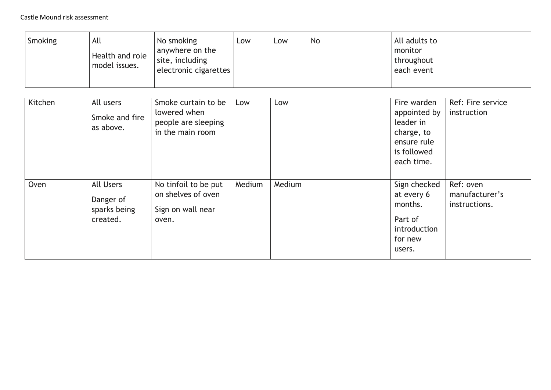| Smoking | All<br>Health and role<br>model issues.                   | No smoking<br>anywhere on the<br>site, including<br>electronic cigarettes      | Low    | Low    | <b>No</b> | All adults to<br>monitor<br>throughout<br>each event                                               |                                              |
|---------|-----------------------------------------------------------|--------------------------------------------------------------------------------|--------|--------|-----------|----------------------------------------------------------------------------------------------------|----------------------------------------------|
| Kitchen | All users<br>Smoke and fire<br>as above.                  | Smoke curtain to be<br>lowered when<br>people are sleeping<br>in the main room | Low    | Low    |           | Fire warden<br>appointed by<br>leader in<br>charge, to<br>ensure rule<br>is followed<br>each time. | Ref: Fire service<br>instruction             |
| Oven    | <b>All Users</b><br>Danger of<br>sparks being<br>created. | No tinfoil to be put<br>on shelves of oven<br>Sign on wall near<br>oven.       | Medium | Medium |           | Sign checked<br>at every 6<br>months.<br>Part of<br>introduction<br>for new<br>users.              | Ref: oven<br>manufacturer's<br>instructions. |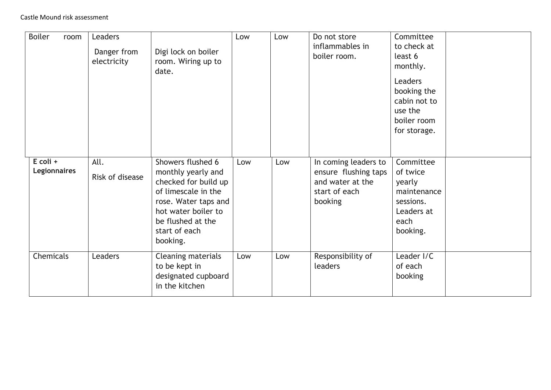| <b>Boiler</b><br>room             | Leaders<br>Danger from<br>electricity | Digi lock on boiler<br>room. Wiring up to<br>date.                                                                                                                                      | Low | Low | Do not store<br>inflammables in<br>boiler room.                                              | Committee<br>to check at<br>least 6<br>monthly.<br><b>Leaders</b><br>booking the<br>cabin not to<br>use the<br>boiler room<br>for storage. |  |
|-----------------------------------|---------------------------------------|-----------------------------------------------------------------------------------------------------------------------------------------------------------------------------------------|-----|-----|----------------------------------------------------------------------------------------------|--------------------------------------------------------------------------------------------------------------------------------------------|--|
| $E$ coli +<br><b>Legionnaires</b> | All.<br>Risk of disease               | Showers flushed 6<br>monthly yearly and<br>checked for build up<br>of limescale in the<br>rose. Water taps and<br>hot water boiler to<br>be flushed at the<br>start of each<br>booking. | Low | Low | In coming leaders to<br>ensure flushing taps<br>and water at the<br>start of each<br>booking | Committee<br>of twice<br>yearly<br>maintenance<br>sessions.<br>Leaders at<br>each<br>booking.                                              |  |
| Chemicals                         | Leaders                               | Cleaning materials<br>to be kept in<br>designated cupboard<br>in the kitchen                                                                                                            | Low | Low | Responsibility of<br>leaders                                                                 | Leader I/C<br>of each<br>booking                                                                                                           |  |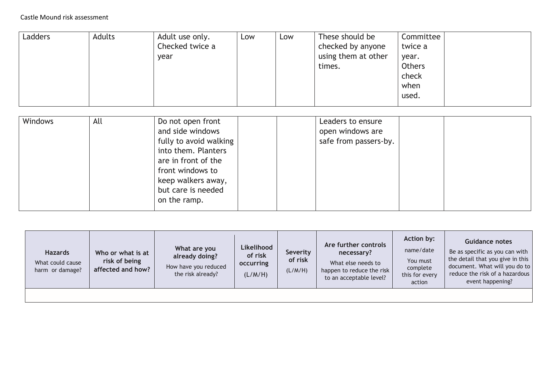| Ladders | Adults | Adult use only. | Low | Low | These should be     | Committee     |  |
|---------|--------|-----------------|-----|-----|---------------------|---------------|--|
|         |        | Checked twice a |     |     | checked by anyone   | twice a       |  |
|         |        | year            |     |     | using them at other | year.         |  |
|         |        |                 |     |     | times.              | <b>Others</b> |  |
|         |        |                 |     |     |                     | check         |  |
|         |        |                 |     |     |                     | when          |  |
|         |        |                 |     |     |                     | used.         |  |
|         |        |                 |     |     |                     |               |  |

|                        | Leaders to ensure     |  |
|------------------------|-----------------------|--|
| and side windows       | open windows are      |  |
| fully to avoid walking | safe from passers-by. |  |
| into them. Planters    |                       |  |
| are in front of the    |                       |  |
| front windows to       |                       |  |
| keep walkers away,     |                       |  |
| but care is needed     |                       |  |
| on the ramp.           |                       |  |
|                        |                       |  |

| <b>Hazards</b><br>What could cause<br>harm or damage? | Who or what is at<br>risk of being<br>affected and how? | What are you<br>already doing?<br>How have you reduced<br>the risk already? | Likelihood<br>of risk<br>occurring<br>(L/M/H) | Severity<br>of risk<br>(L/M/H) | Are further controls<br>necessary?<br>What else needs to<br>happen to reduce the risk<br>to an acceptable level? | Action by:<br>name/date<br>You must<br>complete<br>this for every<br>action | <b>Guidance notes</b><br>Be as specific as you can with<br>the detail that you give in this<br>document. What will you do to<br>reduce the risk of a hazardous<br>event happening? |
|-------------------------------------------------------|---------------------------------------------------------|-----------------------------------------------------------------------------|-----------------------------------------------|--------------------------------|------------------------------------------------------------------------------------------------------------------|-----------------------------------------------------------------------------|------------------------------------------------------------------------------------------------------------------------------------------------------------------------------------|
|                                                       |                                                         |                                                                             |                                               |                                |                                                                                                                  |                                                                             |                                                                                                                                                                                    |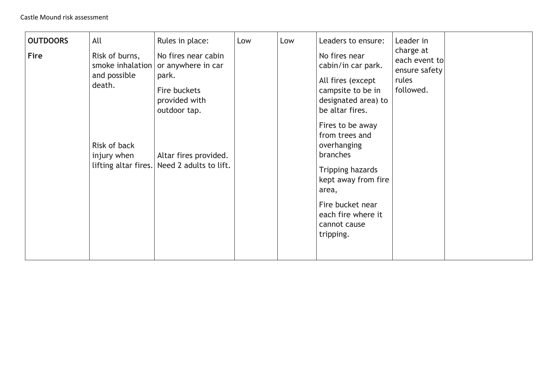| <b>OUTDOORS</b><br>Fire | All<br>Risk of burns,<br>and possible<br>death.<br>Risk of back<br>injury when | Rules in place:<br>No fires near cabin<br>smoke inhalation or anywhere in car<br>park.<br>Fire buckets<br>provided with<br>outdoor tap.<br>Altar fires provided.<br>lifting altar fires. Need 2 adults to lift. | Low | Low | Leaders to ensure:<br>No fires near<br>cabin/in car park.<br>All fires (except<br>campsite to be in<br>designated area) to<br>be altar fires.<br>Fires to be away<br>from trees and<br>overhanging<br>branches<br>Tripping hazards<br>kept away from fire<br>area,<br>Fire bucket near<br>each fire where it<br>cannot cause<br>tripping. | Leader in<br>charge at<br>each event to<br>ensure safety<br>rules<br>followed. |  |
|-------------------------|--------------------------------------------------------------------------------|-----------------------------------------------------------------------------------------------------------------------------------------------------------------------------------------------------------------|-----|-----|-------------------------------------------------------------------------------------------------------------------------------------------------------------------------------------------------------------------------------------------------------------------------------------------------------------------------------------------|--------------------------------------------------------------------------------|--|
|-------------------------|--------------------------------------------------------------------------------|-----------------------------------------------------------------------------------------------------------------------------------------------------------------------------------------------------------------|-----|-----|-------------------------------------------------------------------------------------------------------------------------------------------------------------------------------------------------------------------------------------------------------------------------------------------------------------------------------------------|--------------------------------------------------------------------------------|--|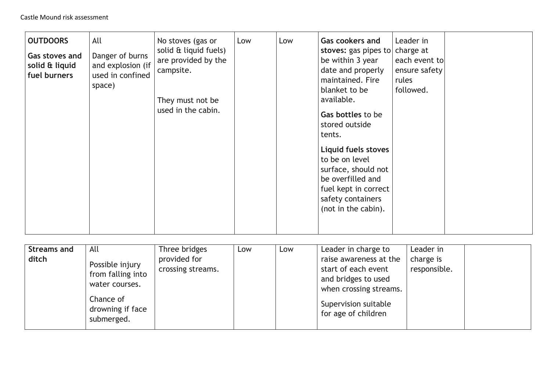| <b>OUTDOORS</b><br>Gas stoves and<br>solid & liquid<br>fuel burners | All<br>Danger of burns<br>and explosion (if<br>used in confined<br>space) | No stoves (gas or<br>solid & liquid fuels)<br>are provided by the<br>campsite.<br>They must not be<br>used in the cabin. | Low | Low | <b>Gas cookers and</b><br>stoves: gas pipes to<br>be within 3 year<br>date and properly<br>maintained. Fire<br>blanket to be<br>available.<br>Gas bottles to be<br>stored outside<br>tents.<br>Liquid fuels stoves<br>to be on level<br>surface, should not<br>be overfilled and<br>fuel kept in correct<br>safety containers<br>(not in the cabin). | Leader in<br>charge at<br>each event to<br>ensure safety<br>rules<br>followed. |  |
|---------------------------------------------------------------------|---------------------------------------------------------------------------|--------------------------------------------------------------------------------------------------------------------------|-----|-----|------------------------------------------------------------------------------------------------------------------------------------------------------------------------------------------------------------------------------------------------------------------------------------------------------------------------------------------------------|--------------------------------------------------------------------------------|--|
|---------------------------------------------------------------------|---------------------------------------------------------------------------|--------------------------------------------------------------------------------------------------------------------------|-----|-----|------------------------------------------------------------------------------------------------------------------------------------------------------------------------------------------------------------------------------------------------------------------------------------------------------------------------------------------------------|--------------------------------------------------------------------------------|--|

| <b>Streams and</b><br>ditch | All<br>Possible injury<br>from falling into<br>water courses.<br>Chance of<br>drowning if face<br>submerged. | Three bridges<br>provided for<br>crossing streams. | Low | Low | Leader in charge to<br>raise awareness at the<br>start of each event<br>and bridges to used<br>when crossing streams.<br>Supervision suitable<br>for age of children | Leader in<br>charge is<br>responsible. |  |
|-----------------------------|--------------------------------------------------------------------------------------------------------------|----------------------------------------------------|-----|-----|----------------------------------------------------------------------------------------------------------------------------------------------------------------------|----------------------------------------|--|
|-----------------------------|--------------------------------------------------------------------------------------------------------------|----------------------------------------------------|-----|-----|----------------------------------------------------------------------------------------------------------------------------------------------------------------------|----------------------------------------|--|